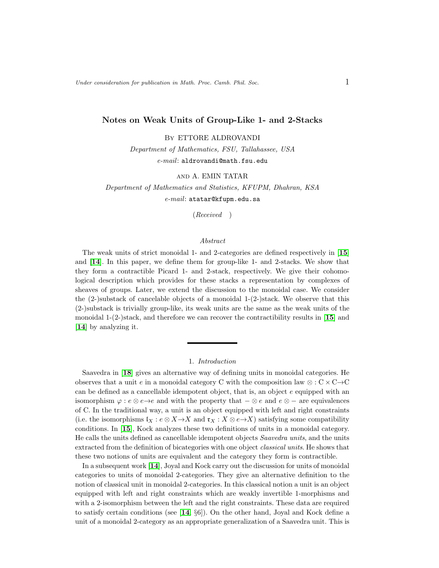## Notes on Weak Units of Group-Like 1- and 2-Stacks

By ETTORE ALDROVANDI

Department of Mathematics, FSU, Tallahassee, USA e-mail: aldrovandi@math.fsu.edu

### and A. EMIN TATAR

Department of Mathematics and Statistics, KFUPM, Dhahran, KSA  $e$ -mail: atatar@kfupm.edu.sa

(Received )

### Abstract

The weak units of strict monoidal 1- and 2-categories are defined respectively in [[15](#page-15-0)] and [[14](#page-14-0)]. In this paper, we define them for group-like 1- and 2-stacks. We show that they form a contractible Picard 1- and 2-stack, respectively. We give their cohomological description which provides for these stacks a representation by complexes of sheaves of groups. Later, we extend the discussion to the monoidal case. We consider the  $(2-)$ substack of cancelable objects of a monoidal  $1-(2-)$ stack. We observe that this (2-)substack is trivially group-like, its weak units are the same as the weak units of the monoidal  $1-(2-)stack$ , and therefore we can recover the contractibility results in [[15](#page-15-0)] and [[14](#page-14-0)] by analyzing it.

### 1. Introduction

Saavedra in [[18](#page-15-1)] gives an alternative way of defining units in monoidal categories. He observes that a unit e in a monoidal category C with the composition law  $\otimes$  : C  $\times$  C  $\rightarrow$  C can be defined as a cancellable idempotent object, that is, an object e equipped with an isomorphism  $\varphi : e \otimes e \rightarrow e$  and with the property that  $-\otimes e$  and  $e \otimes -$  are equivalences of C. In the traditional way, a unit is an object equipped with left and right constraints (i.e. the isomorphisms  $\mathfrak{l}_X : e \otimes X \to X$  and  $\mathfrak{r}_X : X \otimes e \to X$ ) satisfying some compatibility conditions. In [[15](#page-15-0)], Kock analyzes these two definitions of units in a monoidal category. He calls the units defined as cancellable idempotent objects Saavedra units, and the units extracted from the definition of bicategories with one object classical units. He shows that these two notions of units are equivalent and the category they form is contractible.

In a subsequent work [[14](#page-14-0)], Joyal and Kock carry out the discussion for units of monoidal categories to units of monoidal 2-categories. They give an alternative definition to the notion of classical unit in monoidal 2-categories. In this classical notion a unit is an object equipped with left and right constraints which are weakly invertible 1-morphisms and with a 2-isomorphism between the left and the right constraints. These data are required to satisfy certain conditions (see  $[14, \S6]$  $[14, \S6]$  $[14, \S6]$ ). On the other hand, Joyal and Kock define a unit of a monoidal 2-category as an appropriate generalization of a Saavedra unit. This is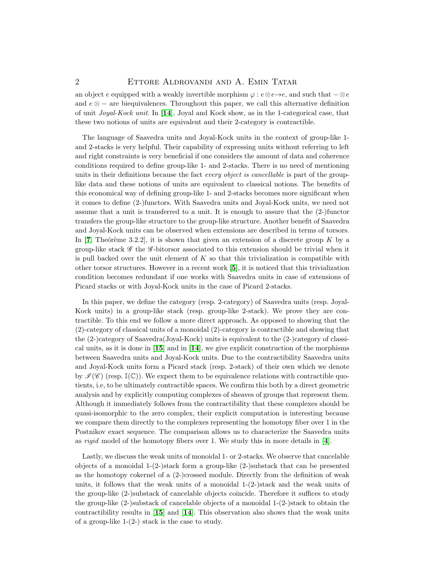## 2 ETTORE ALDROVANDI AND A. EMIN TATAR

an object e equipped with a weakly invertible morphism  $\varphi : e \otimes e \rightarrow e$ , and such that  $-\otimes e$ and  $e \otimes -$  are biequivalences. Throughout this paper, we call this alternative definition of unit  $Joyal-Kock unit$ . In [[14](#page-14-0)], Joyal and Kock show, as in the 1-categorical case, that these two notions of units are equivalent and their 2-category is contractible.

The language of Saavedra units and Joyal-Kock units in the context of group-like 1 and 2-stacks is very helpful. Their capability of expressing units without referring to left and right constraints is very beneficial if one considers the amount of data and coherence conditions required to define group-like 1- and 2-stacks. There is no need of mentioning units in their definitions because the fact *every object is cancellable* is part of the grouplike data and these notions of units are equivalent to classical notions. The benefits of this economical way of defining group-like 1- and 2-stacks becomes more significant when it comes to define (2-)functors. With Saavedra units and Joyal-Kock units, we need not assume that a unit is transferred to a unit. It is enough to assure that the (2-)functor transfers the group-like structure to the group-like structure. Another benefit of Saavedra and Joyal-Kock units can be observed when extensions are described in terms of torsors. In  $[7,$  $[7,$  $[7,$  Theorème 3.2.2], it is shown that given an extension of a discrete group K by a group-like stack  $\mathscr G$  the  $\mathscr G$ -bitorsor associated to this extension should be trivial when it is pull backed over the unit element of  $K$  so that this trivialization is compatible with other torsor structures. However in a recent work [[5](#page-14-2)], it is noticed that this trivialization condition becomes redundant if one works with Saavedra units in case of extensions of Picard stacks or with Joyal-Kock units in the case of Picard 2-stacks.

In this paper, we define the category (resp. 2-category) of Saavedra units (resp. Joyal-Kock units) in a group-like stack (resp. group-like 2-stack). We prove they are contractible. To this end we follow a more direct approach. As opposed to showing that the (2)-category of classical units of a monoidal (2)-category is contractible and showing that the (2-)category of Saavedra(Joyal-Kock) units is equivalent to the (2-)category of classical units, as it is done in  $\left[15\right]$  $\left[15\right]$  $\left[15\right]$  and in  $\left[14\right]$  $\left[14\right]$  $\left[14\right]$ , we give explicit construction of the morphisms between Saavedra units and Joyal-Kock units. Due to the contractibility Saavedra units and Joyal-Kock units form a Picard stack (resp. 2-stack) of their own which we denote by  $\mathcal{I}(\mathscr{C})$  (resp.  $\mathbb{I}(\mathbb{C})$ ). We expect them to be equivalence relations with contractible quotients, i.e, to be ultimately contractible spaces. We confirm this both by a direct geometric analysis and by explicitly computing complexes of sheaves of groups that represent them. Although it immediately follows from the contractibility that these complexes should be quasi-isomorphic to the zero complex, their explicit computation is interesting because we compare them directly to the complexes representing the homotopy fiber over 1 in the Postnikov exact sequence. The comparison allows us to characterize the Saavedra units as *rigid* model of the homotopy fibers over 1. We study this in more details in  $[4]$  $[4]$  $[4]$ .

Lastly, we discuss the weak units of monoidal 1- or 2-stacks. We observe that cancelable objects of a monoidal 1-(2-)stack form a group-like (2-)substack that can be presented as the homotopy cokernel of a  $(2-)$ crossed module. Directly from the definition of weak units, it follows that the weak units of a monoidal  $1-(2-)$ stack and the weak units of the group-like (2-)substack of cancelable objects coincide. Therefore it suffices to study the group-like (2-)substack of cancelable objects of a monoidal 1-(2-)stack to obtain the contractibility results in [[15](#page-15-0)] and [[14](#page-14-0)]. This observation also shows that the weak units of a group-like  $1-(2-)$  stack is the case to study.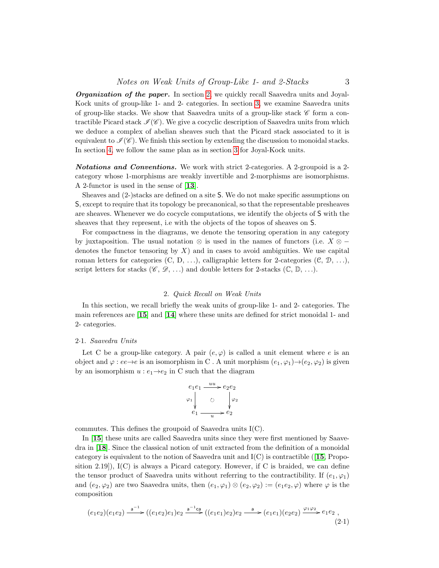**Organization of the paper.** In section [2,](#page-2-0) we quickly recall Saavedra units and Joyal-Kock units of group-like 1- and 2- categories. In section [3,](#page-4-0) we examine Saavedra units of group-like stacks. We show that Saavedra units of a group-like stack  $\mathscr{C}$  form a contractible Picard stack  $\mathcal{I}(\mathscr{C})$ . We give a cocyclic description of Saavedra units from which we deduce a complex of abelian sheaves such that the Picard stack associated to it is equivalent to  $\mathcal{I}(\mathscr{C})$ . We finish this section by extending the discussion to monoidal stacks. In section [4,](#page-7-0) we follow the same plan as in section [3](#page-4-0) for Joyal-Kock units.

Notations and Conventions. We work with strict 2-categories. A 2-groupoid is a 2 category whose 1-morphisms are weakly invertible and 2-morphisms are isomorphisms. A 2-functor is used in the sense of [[13](#page-14-4)].

Sheaves and (2-)stacks are defined on a site S. We do not make specific assumptions on S, except to require that its topology be precanonical, so that the representable presheaves are sheaves. Whenever we do cocycle computations, we identify the objects of S with the sheaves that they represent, i.e with the objects of the topos of sheaves on S.

For compactness in the diagrams, we denote the tensoring operation in any category by juxtaposition. The usual notation ⊗ is used in the names of functors (i.e.  $X \otimes$ denotes the functor tensoring by  $X$ ) and in cases to avoid ambiguities. We use capital roman letters for categories  $(C, D, \ldots)$ , calligraphic letters for 2-categories  $(C, D, \ldots)$ , script letters for stacks ( $\mathscr{C}, \mathscr{D}, \ldots$ ) and double letters for 2-stacks ( $\mathbb{C}, \mathbb{D}, \ldots$ ).

## 2. Quick Recall on Weak Units

<span id="page-2-0"></span>In this section, we recall briefly the weak units of group-like 1- and 2- categories. The main references are [[15](#page-15-0)] and [[14](#page-14-0)] where these units are defined for strict monoidal 1- and 2- categories.

#### 2·1. Saavedra Units

Let C be a group-like category. A pair  $(e, \varphi)$  is called a unit element where e is an object and  $\varphi : ee \to e$  is an isomorphism in C. A unit morphism  $(e_1, \varphi_1) \to (e_2, \varphi_2)$  is given by an isomorphism  $u : e_1 \rightarrow e_2$  in C such that the diagram

$$
e_1e_1 \xrightarrow{uu} e_2e_2
$$
  
\n
$$
\varphi_1 \downarrow \qquad \circ \qquad \downarrow \varphi_2
$$
  
\n
$$
e_1 \xrightarrow{u} e_2
$$

commutes. This defines the groupoid of Saavedra units I(C).

In [[15](#page-15-0)] these units are called Saavedra units since they were first mentioned by Saavedra in [[18](#page-15-1)]. Since the classical notion of unit extracted from the definition of a monoidal category is equivalent to the notion of Saavedra unit and  $I(C)$  is contractible ([[15](#page-15-0), Proposition 2.19]),  $I(C)$  is always a Picard category. However, if C is braided, we can define the tensor product of Saavedra units without referring to the contractibility. If  $(e_1, \varphi_1)$ and  $(e_2, \varphi_2)$  are two Saavedra units, then  $(e_1, \varphi_1) \otimes (e_2, \varphi_2) := (e_1e_2, \varphi)$  where  $\varphi$  is the composition

<span id="page-2-1"></span>
$$
(e_1e_2)(e_1e_2) \xrightarrow{a^{-1}} ((e_1e_2)e_1)e_2 \xrightarrow{a^{-1}ca} ((e_1e_1)e_2)e_2 \xrightarrow{a} (e_1e_1)(e_2e_2) \xrightarrow{\varphi_1\varphi_2} e_1e_2,
$$
\n(2.1)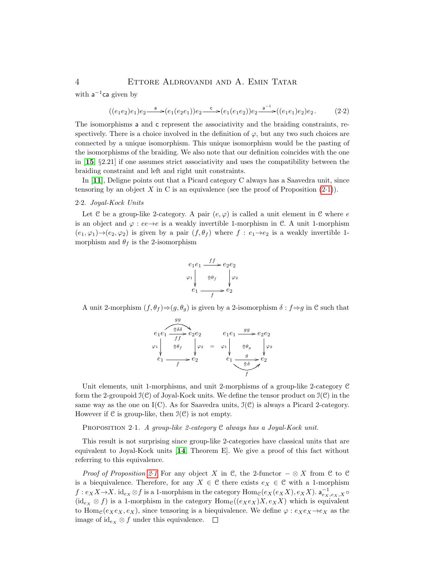## 4 Ettore Aldrovandi and A. Emin Tatar

with  $a^{-1}ca$  given by

$$
((e_1e_2)e_1)e_2 \xrightarrow{a} (e_1(e_2e_1))e_2 \xrightarrow{c} (e_1(e_1e_2))e_2 \xrightarrow{a^{-1}} ((e_1e_1)e_2)e_2.
$$
 (2.2)

The isomorphisms a and c represent the associativity and the braiding constraints, respectively. There is a choice involved in the definition of  $\varphi$ , but any two such choices are connected by a unique isomorphism. This unique isomorphism would be the pasting of the isomorphisms of the braiding. We also note that our definition coincides with the one in [[15](#page-15-0), §2.21] if one assumes strict associativity and uses the compatibility between the braiding constraint and left and right unit constraints.

In [[11](#page-14-5)], Deligne points out that a Picard category C always has a Saavedra unit, since tensoring by an object X in C is an equivalence (see the proof of Proposition  $(2\cdot 1)$  $(2\cdot 1)$ ).

## 2·2. Joyal-Kock Units

Let C be a group-like 2-category. A pair  $(e, \varphi)$  is called a unit element in C where e is an object and  $\varphi : ee \rightarrow e$  is a weakly invertible 1-morphism in C. A unit 1-morphism  $(e_1, \varphi_1) \rightarrow (e_2, \varphi_2)$  is given by a pair  $(f, \theta_f)$  where  $f : e_1 \rightarrow e_2$  is a weakly invertible 1morphism and  $\theta_f$  is the 2-isomorphism

$$
e_1e_1 \xrightarrow{ff} e_2e_2
$$
  
\n
$$
\varphi_1 \downarrow \qquad \qquad \downarrow \varphi_2
$$
  
\n
$$
e_1 \xrightarrow{f} e_2
$$

A unit 2-morphism  $(f, \theta_f) \Rightarrow (g, \theta_g)$  is given by a 2-isomorphism  $\delta : f \Rightarrow g$  in C such that

$$
e_1e_1 \xrightarrow{g} e_2e_2
$$
  
\n
$$
\varphi_1 \downarrow \qquad \qquad \varphi_2 \downarrow \qquad \qquad e_1e_1 \xrightarrow{g} e_2e_2
$$
  
\n
$$
\varphi_1 \downarrow \qquad \qquad \varphi_2 \downarrow \qquad \qquad \varphi_2 \downarrow \qquad \qquad \varphi_3 \downarrow \varphi_2
$$
  
\n
$$
e_1 \xrightarrow{g} e_2
$$
  
\n
$$
e_1 \xrightarrow{g} e_2
$$
  
\n
$$
e_1 \xrightarrow{g} e_2
$$

Unit elements, unit 1-morphisms, and unit 2-morphisms of a group-like 2-category C form the 2-groupoid  $\mathfrak{I}(\mathcal{C})$  of Joyal-Kock units. We define the tensor product on  $\mathfrak{I}(\mathcal{C})$  in the same way as the one on  $I(C)$ . As for Saavedra units,  $J(C)$  is always a Picard 2-category. However if  $C$  is group-like, then  $\mathfrak{I}(C)$  is not empty.

<span id="page-3-0"></span>PROPOSITION 2.1. A group-like 2-category C always has a Joyal-Kock unit.

This result is not surprising since group-like 2-categories have classical units that are equivalent to Joyal-Kock units [[14](#page-14-0), Theorem E]. We give a proof of this fact without referring to this equivalence.

*Proof of Proposition [2](#page-3-0):1* For any object X in C, the 2-functor  $-\otimes X$  from C to C is a biequivalence. Therefore, for any  $X \in \mathcal{C}$  there exists  $e_X \in \mathcal{C}$  with a 1-morphism  $f: e_X X \to X$ . id $_{e_X} \otimes f$  is a 1-morphism in the category  $\text{Hom}_{\mathcal{C}}(e_X(e_X X), e_X X)$ .  $a_{e_X,e_X,X}^{-1} \circ$  $(id_{e_X} \otimes f)$  is a 1-morphism in the category  $Hom_{\mathcal{C}}((e_Xe_X)X, e_XX)$  which is equivalent to Hom<sub>C</sub>( $e_Xe_X, e_X$ ), since tensoring is a biequivalence. We define  $\varphi : e_Xe_X \rightarrow e_X$  as the image of  $id_{e_X} \otimes f$  under this equivalence.  $\Box$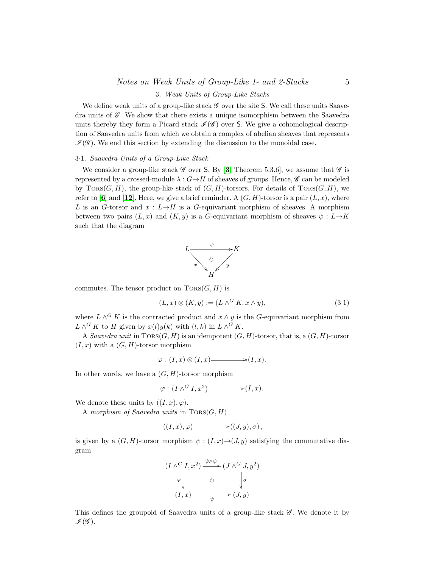# Notes on Weak Units of Group-Like 1- and 2-Stacks 5

### 3. Weak Units of Group-Like Stacks

<span id="page-4-0"></span>We define weak units of a group-like stack  $\mathscr G$  over the site S. We call these units Saavedra units of  $\mathscr{G}$ . We show that there exists a unique isomorphism between the Saavedra units thereby they form a Picard stack  $\mathcal{I}(\mathcal{G})$  over S. We give a cohomological description of Saavedra units from which we obtain a complex of abelian sheaves that represents  $\mathscr{I}(\mathscr{G})$ . We end this section by extending the discussion to the monoidal case.

### 3·1. Saavedra Units of a Group-Like Stack

We consider a group-like stack  $\mathscr G$  over S. By [[3](#page-14-6), Theorem 5.3.6], we assume that  $\mathscr G$  is represented by a crossed-module  $\lambda : G \rightarrow H$  of sheaves of groups. Hence,  $\mathscr G$  can be modeled by  $TORS(G, H)$ , the group-like stack of  $(G, H)$ -torsors. For details of  $TORS(G, H)$ , we refer to [[6](#page-14-7)] and [[12](#page-14-8)]. Here, we give a brief reminder. A  $(G, H)$ -torsor is a pair  $(L, x)$ , where L is an G-torsor and  $x : L \rightarrow H$  is a G-equivariant morphism of sheaves. A morphism between two pairs  $(L, x)$  and  $(K, y)$  is a G-equivariant morphism of sheaves  $\psi : L \rightarrow K$ such that the diagram



commutes. The tensor product on  $TORS(G, H)$  is

$$
(L, x) \otimes (K, y) := (L \wedge^G K, x \wedge y), \tag{3-1}
$$

where  $L \wedge^G K$  is the contracted product and  $x \wedge y$  is the G-equivariant morphism from  $L \wedge^G K$  to H given by  $x(l)y(k)$  with  $(l, k)$  in  $L \wedge^G K$ .

A Saavedra unit in  $Tors(G, H)$  is an idempotent  $(G, H)$ -torsor, that is, a  $(G, H)$ -torsor  $(I, x)$  with a  $(G, H)$ -torsor morphism

$$
\varphi: (I, x) \otimes (I, x) \longrightarrow (I, x).
$$

In other words, we have a  $(G, H)$ -torsor morphism

$$
\varphi: (I \wedge^G I, x^2) \longrightarrow (I, x).
$$

We denote these units by  $((I, x), \varphi)$ .

A morphism of Saavedra units in  $TORS(G, H)$ 

$$
((I,x),\varphi) \longrightarrow ((J,y),\sigma),
$$

is given by a  $(G, H)$ -torsor morphism  $\psi : (I, x) \rightarrow (J, y)$  satisfying the commutative diagram

$$
(I \wedge^G I, x^2) \xrightarrow{\psi \wedge \psi} (J \wedge^G J, y^2)
$$
  
\n
$$
\downarrow \qquad \qquad \circ \qquad \downarrow \sigma
$$
  
\n
$$
(I, x) \xrightarrow{\psi} (J, y)
$$

<span id="page-4-1"></span>This defines the groupoid of Saavedra units of a group-like stack  $\mathscr G$ . We denote it by  $\mathscr{I}(\mathscr{G}).$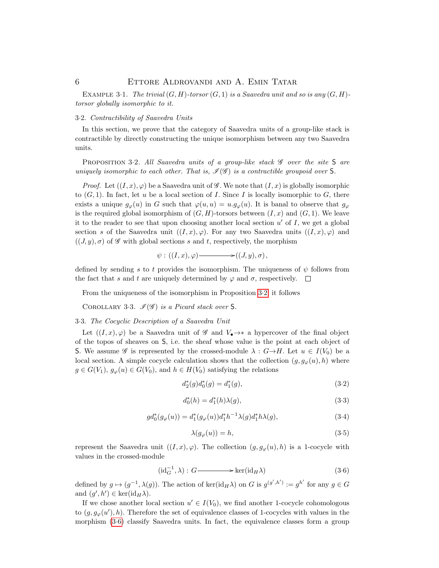EXAMPLE 3.1. The trivial  $(G, H)$ -torsor  $(G, 1)$  is a Saavedra unit and so is any  $(G, H)$ torsor globally isomorphic to it.

### 3·2. Contractibility of Saavedra Units

<span id="page-5-0"></span>In this section, we prove that the category of Saavedra units of a group-like stack is contractible by directly constructing the unique isomorphism between any two Saavedra units.

PROPOSITION 3.2. All Saavedra units of a group-like stack  $\mathscr G$  over the site S are uniquely isomorphic to each other. That is,  $\mathcal{I}(\mathcal{G})$  is a contractible groupoid over S.

*Proof.* Let  $((I, x), \varphi)$  be a Saavedra unit of  $\mathscr G$ . We note that  $(I, x)$  is globally isomorphic to  $(G, 1)$ . In fact, let u be a local section of I. Since I is locally isomorphic to G, there exists a unique  $g_{\varphi}(u)$  in G such that  $\varphi(u, u) = u.g_{\varphi}(u)$ . It is banal to observe that  $g_{\varphi}$ is the required global isomorphism of  $(G, H)$ -torsors between  $(I, x)$  and  $(G, 1)$ . We leave it to the reader to see that upon choosing another local section  $u'$  of  $I$ , we get a global section s of the Saavedra unit  $((I, x), \varphi)$ . For any two Saavedra units  $((I, x), \varphi)$  and  $((J, y), \sigma)$  of  $\mathscr G$  with global sections s and t, respectively, the morphism

$$
\psi: ((I,x), \varphi) \longrightarrow ((J,y), \sigma),
$$

defined by sending s to t provides the isomorphism. The uniqueness of  $\psi$  follows from the fact that s and t are uniquely determined by  $\varphi$  and  $\sigma$ , respectively.  $\Box$ 

From the uniqueness of the isomorphism in Proposition [3](#page-5-0)·2, it follows

COROLLARY 3.3.  $\mathscr{I}(\mathscr{G})$  is a Picard stack over S.

#### 3·3. The Cocyclic Description of a Saavedra Unit

Let  $((I, x), \varphi)$  be a Saavedra unit of  $\mathscr G$  and  $V_{\bullet} \to \ast$  a hypercover of the final object of the topos of sheaves on S, i.e. the sheaf whose value is the point at each object of S. We assume G is represented by the crossed-module  $\lambda : G \rightarrow H$ . Let  $u \in I(V_0)$  be a local section. A simple cocycle calculation shows that the collection  $(g, g_{\varphi}(u), h)$  where  $g \in G(V_1)$ ,  $g_{\varphi}(u) \in G(V_0)$ , and  $h \in H(V_0)$  satisfying the relations

$$
d_2^*(g)d_0^*(g) = d_1^*(g),\tag{3.2}
$$

$$
d_0^*(h) = d_1^*(h)\lambda(g),\tag{3.3}
$$

$$
gd_0^*(g_\varphi(u)) = d_1^*(g_\varphi(u))d_1^*h^{-1}\lambda(g)d_1^*h\lambda(g),
$$
\n(3.4)

$$
\lambda(g_{\varphi}(u)) = h,\tag{3-5}
$$

represent the Saavedra unit  $((I, x), \varphi)$ . The collection  $(g, g_{\varphi}(u), h)$  is a 1-cocycle with values in the crossed-module

<span id="page-5-1"></span>
$$
(\mathrm{id}_{G}^{-1}, \lambda) : G \longrightarrow \mathrm{ker}(\mathrm{id}_{H} \lambda) \tag{3.6}
$$

defined by  $g \mapsto (g^{-1}, \lambda(g))$ . The action of ker(id<sub>H</sub> $\lambda$ ) on G is  $g^{(g',h')} := g^{h'}$  for any  $g \in G$ and  $(g', h') \in \ker(\mathrm{id}_H \lambda)$ .

If we chose another local section  $u' \in I(V_0)$ , we find another 1-cocycle cohomologous to  $(g, g_{\varphi}(u'), h)$ . Therefore the set of equivalence classes of 1-cocycles with values in the morphism (3·[6\)](#page-5-1) classify Saavedra units. In fact, the equivalence classes form a group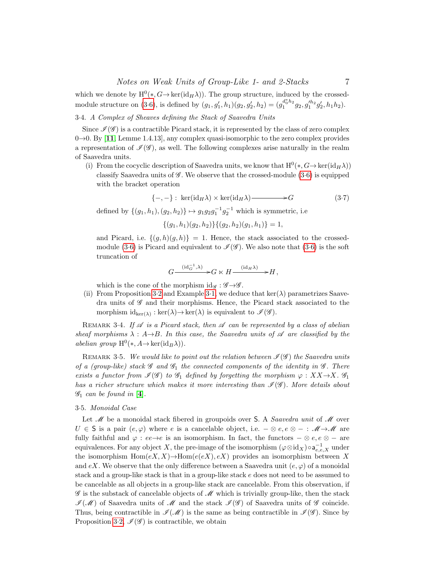which we denote by  $H^0(*, G \to \ker(\mathrm{id}_H \lambda))$ . The group structure, induced by the crossed-module structure on [\(3](#page-5-1).6), is defined by  $(g_1, g'_1, h_1)(g_2, g'_2, h_2) = (g_1^{d_0^*h_2}g_2, g_1^{\prime h_2}g'_2, h_1h_2)$ .

# 3·4. A Complex of Sheaves defining the Stack of Saavedra Units

Since  $\mathcal{I}(\mathcal{G})$  is a contractible Picard stack, it is represented by the class of zero complex  $0\rightarrow 0$ . By [[11](#page-14-5), Lemme 1.4.13], any complex quasi-isomorphic to the zero complex provides a representation of  $\mathcal{I}(\mathscr{G})$ , as well. The following complexes arise naturally in the realm of Saavedra units.

(i) From the cocyclic description of Saavedra units, we know that  $H^0(*, G \to \ker(\mathrm{id}_H \lambda))$ classify Saavedra units of  $\mathscr G$ . We observe that the crossed-module  $(3.6)$  $(3.6)$  is equipped with the bracket operation

$$
\{-,-\}:\ker(\mathrm{id}_H\lambda)\times\ker(\mathrm{id}_H\lambda)\longrightarrow G\tag{3.7}
$$

defined by  $\{(g_1, h_1), (g_2, h_2)\} \mapsto g_1 g_2 g_1^{-1} g_2^{-1}$  which is symmetric, i.e

 $\{(g_1, h_1)(g_2, h_2)\}\{(g_2, h_2)(g_1, h_1)\} = 1,$ 

and Picard, i.e.  $\{(q, h)(q, h)\} = 1$ . Hence, the stack associated to the crossed-module [\(3](#page-5-1).6) is Picard and equivalent to  $\mathcal{I}(\mathcal{G})$ . We also note that (3.6) is the soft truncation of

$$
G \xrightarrow{\, (\mathrm{id}_G^{-1}, \lambda)} G \ltimes H \xrightarrow{\, (\mathrm{id}_H \lambda)} H,
$$

which is the cone of the morphism  $\mathrm{id}_{\mathscr{G}} : \mathscr{G} \rightarrow \mathscr{G}$ .

(ii) From Proposition [3](#page-4-1).2 and Example 3.1, we deduce that  $\ker(\lambda)$  parametrizes Saavedra units of  $\mathscr G$  and their morphisms. Hence, the Picard stack associated to the morphism  $id_{\text{ker}(\lambda)} : \text{ker}(\lambda) \to \text{ker}(\lambda)$  is equivalent to  $\mathcal{I}(\mathcal{G})$ .

REMARK 3.4. If  $\mathscr A$  is a Picard stack, then  $\mathscr A$  can be represented by a class of abelian sheaf morphisms  $\lambda : A \rightarrow B$ . In this case, the Saavedra units of  $\mathscr A$  are classified by the abelian group  $H^0(*, A \to \text{ker}(\text{id}_B \lambda)).$ 

REMARK 3.5. We would like to point out the relation between  $\mathcal{I}(\mathscr{G})$  the Saavedra units of a (group-like) stack  $\mathscr G$  and  $\mathscr G_1$  the connected components of the identity in  $\mathscr G$ . There exists a functor from  $\mathcal{I}(\mathcal{G})$  to  $\mathcal{G}_1$  defined by forgetting the morphism  $\varphi : XX \rightarrow X$ .  $\mathcal{G}_1$ has a richer structure which makes it more interesting than  $\mathcal{I}(\mathcal{G})$ . More details about  $\mathscr{G}_1$  can be found in [[4](#page-14-3)].

#### <span id="page-6-0"></span>3·5. Monoidal Case

Let  $\mathcal M$  be a monoidal stack fibered in groupoids over S. A *Saavedra unit* of  $\mathcal M$  over  $U \in \mathsf{S}$  is a pair  $(e, \varphi)$  where e is a cancelable object, i.e.  $-\otimes e, e \otimes - : \mathscr{M} \to \mathscr{M}$  are fully faithful and  $\varphi : ee \rightarrow e$  is an isomorphism. In fact, the functors  $-\otimes e, e \otimes -$  are equivalences. For any object X, the pre-image of the isomorphism  $(\varphi \otimes id_X) \circ a_{e,e,X}^{-1}$  under the isomorphism  $Hom(eX, X) \to Hom(e(X), eX)$  provides an isomorphism between X and eX. We observe that the only difference between a Saavedra unit  $(e, \varphi)$  of a monoidal stack and a group-like stack is that in a group-like stack e does not need to be assumed to be cancelable as all objects in a group-like stack are cancelable. From this observation, if  $\mathscr G$  is the substack of cancelable objects of  $\mathscr M$  which is trivially group-like, then the stack  $\mathcal{I}(\mathcal{M})$  of Saavedra units of  $\mathcal{M}$  and the stack  $\mathcal{I}(\mathcal{G})$  of Saavedra units of  $\mathcal{G}$  coincide. Thus, being contractible in  $\mathcal{I}(\mathcal{M})$  is the same as being contractible in  $\mathcal{I}(\mathcal{G})$ . Since by Proposition [3](#page-5-0).2,  $\mathcal{I}(\mathscr{G})$  is contractible, we obtain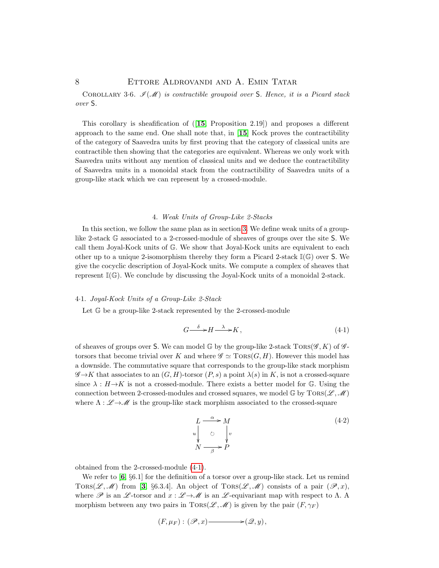COROLLARY 3.6.  $\mathcal{I}(\mathcal{M})$  is contractible groupoid over S. Hence, it is a Picard stack over S.

This corollary is sheafification of ([[15](#page-15-0), Proposition 2.19]) and proposes a different approach to the same end. One shall note that, in  $[15]$  $[15]$  $[15]$  Kock proves the contractibility of the category of Saavedra units by first proving that the category of classical units are contractible then showing that the categories are equivalent. Whereas we only work with Saavedra units without any mention of classical units and we deduce the contractibility of Saavedra units in a monoidal stack from the contractibility of Saavedra units of a group-like stack which we can represent by a crossed-module.

### 4. Weak Units of Group-Like 2-Stacks

<span id="page-7-0"></span>In this section, we follow the same plan as in section [3.](#page-4-0) We define weak units of a grouplike 2-stack G associated to a 2-crossed-module of sheaves of groups over the site S. We call them Joyal-Kock units of G. We show that Joyal-Kock units are equivalent to each other up to a unique 2-isomorphism thereby they form a Picard 2-stack  $\mathbb{I}(\mathbb{G})$  over S. We give the cocyclic description of Joyal-Kock units. We compute a complex of sheaves that represent I(G). We conclude by discussing the Joyal-Kock units of a monoidal 2-stack.

### <span id="page-7-3"></span>4·1. Joyal-Kock Units of a Group-Like 2-Stack

Let G be a group-like 2-stack represented by the 2-crossed-module

<span id="page-7-1"></span>
$$
G \xrightarrow{\delta} H \xrightarrow{\lambda} K, \tag{4.1}
$$

of sheaves of groups over S. We can model G by the group-like 2-stack  $Tors(\mathscr{G}, K)$  of  $\mathscr{G}$ torsors that become trivial over K and where  $\mathscr{G} \simeq \text{TORS}(G, H)$ . However this model has a downside. The commutative square that corresponds to the group-like stack morphism  $\mathscr{G}\rightarrow K$  that associates to an  $(G, H)$ -torsor  $(P, s)$  a point  $\lambda(s)$  in K, is not a crossed-square since  $\lambda : H \rightarrow K$  is not a crossed-module. There exists a better model for G. Using the connection between 2-crossed-modules and crossed squares, we model  $\mathbb{G}$  by  $TORS(\mathscr{L}, \mathscr{M})$ where  $\Lambda : \mathscr{L} \to \mathscr{M}$  is the group-like stack morphism associated to the crossed-square

<span id="page-7-2"></span>
$$
L \xrightarrow{\alpha} M
$$
  
\n
$$
u \downarrow_{\mathcal{O}} \qquad v
$$
  
\n
$$
N \xrightarrow{\alpha} P
$$
  
\n
$$
(4.2)
$$

obtained from the 2-crossed-module [\(4](#page-7-1)·1).

We refer to  $\left[6, \S6.1\right]$  $\left[6, \S6.1\right]$  $\left[6, \S6.1\right]$  for the definition of a torsor over a group-like stack. Let us remind TORS(L, M) from [[3](#page-14-6), §6.3.4]. An object of  $TORS(\mathcal{L}, \mathcal{M})$  consists of a pair  $(\mathcal{P}, x)$ , where  $\mathscr P$  is an  $\mathscr L$ -torsor and  $x : \mathscr L \to \mathscr M$  is an  $\mathscr L$ -equivariant map with respect to  $\Lambda$ . A morphism between any two pairs in  $TORS(\mathscr{L}, \mathscr{M})$  is given by the pair  $(F, \gamma_F)$ 

$$
(F,\mu_F):(\mathscr{P},x)\longrightarrow(\mathscr{Q},y),
$$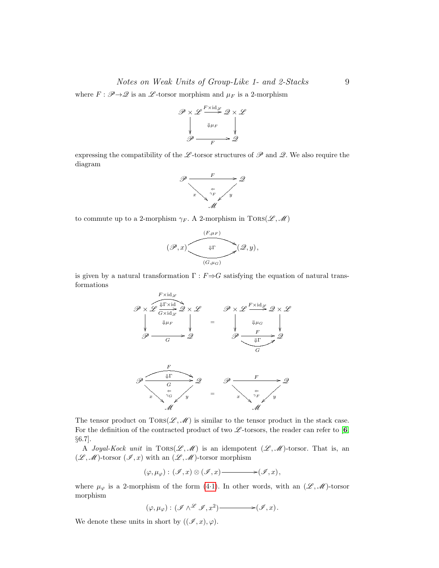## Notes on Weak Units of Group-Like 1- and 2-Stacks 9

where  $F : \mathscr{P} \rightarrow \mathscr{Q}$  is an  $\mathscr{L}$ -torsor morphism and  $\mu_F$  is a 2-morphism

$$
\mathscr{P} \times \mathscr{L} \xrightarrow{\text{F} \times \text{id}_{\mathscr{L}}}_{\downarrow \downarrow \mu_{F}} \mathscr{Q} \times \mathscr{L}
$$
\n
$$
\mathscr{P} \xrightarrow{\qquad \downarrow \mu_{F}} \mathscr{Q}
$$

expressing the compatibility of the L-torsor structures of  $\mathscr P$  and  $\mathscr Q$ . We also require the diagram



to commute up to a 2-morphism  $\gamma_F$ . A 2-morphism in TORS( $\mathscr{L}, \mathscr{M}$ )



is given by a natural transformation  $\Gamma : F \rightarrow G$  satisfying the equation of natural transformations



The tensor product on  $TORS(\mathcal{L},\mathcal{M})$  is similar to the tensor product in the stack case. For the definition of the contracted product of two  $\mathscr{L}$ -torsors, the reader can refer to [[6](#page-14-7), §6.7].

A Joyal-Kock unit in  $TORS(\mathscr{L},\mathscr{M})$  is an idempotent  $(\mathscr{L},\mathscr{M})$ -torsor. That is, an  $(\mathscr{L},\mathscr{M})$ -torsor  $(\mathscr{I},x)$  with an  $(\mathscr{L},\mathscr{M})$ -torsor morphism

(ϕ, µϕ) : (I , x) ⊗ (I , x) /(I , x),

where  $\mu_{\varphi}$  is a 2-morphism of the form [\(4](#page-7-2).1). In other words, with an  $(\mathscr{L}, \mathscr{M})$ -torsor morphism

$$
(\varphi,\mu_{\varphi}):(\mathscr{I}\wedge^{\mathscr{L}}\mathscr{I},x^2)\longrightarrow (\mathscr{I},x).
$$

We denote these units in short by  $((\mathscr{I}, x), \varphi)$ .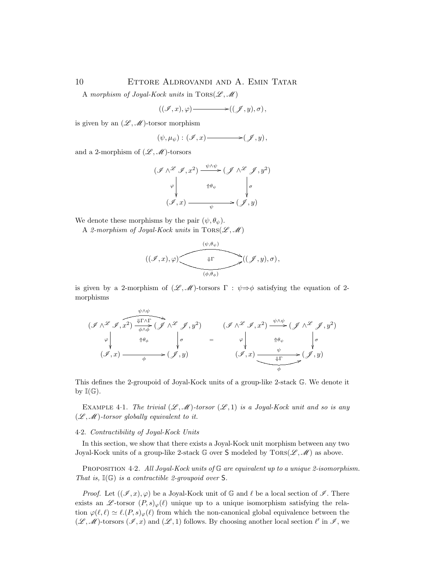A morphism of Joyal-Kock units in  $TORS(\mathscr{L}, \mathscr{M})$ 

 $((\mathscr{I}, x), \varphi)$   $\longrightarrow$   $((\mathscr{I}, y), \sigma)$ ,

is given by an  $(\mathscr{L}, \mathscr{M})$ -torsor morphism

$$
(\psi,\mu_{\psi}):(\mathscr{I},x)\longrightarrow(\mathscr{J},y),
$$

and a 2-morphism of  $(\mathscr{L},\mathscr{M})$ -torsors

$$
(\mathcal{I} \wedge \mathcal{L} \mathcal{I}, x^2) \xrightarrow{\psi \wedge \psi} (\mathcal{J} \wedge \mathcal{L} \mathcal{J}, y^2)
$$
  

$$
\varphi \downarrow \qquad \qquad \uparrow \theta_{\psi} \qquad \qquad \downarrow \sigma
$$
  

$$
(\mathcal{I}, x) \xrightarrow{\psi} (\mathcal{J}, y)
$$

We denote these morphisms by the pair  $(\psi, \theta_{\psi})$ .

A 2-morphism of Joyal-Kock units in  $TORS(\mathscr{L},\mathscr{M})$ 

$$
((\mathscr{I},x),\varphi) \xrightarrow{\qquad \qquad (\psi,\theta_\psi) \\qquad \qquad \downarrow \Gamma \qquad \qquad } ((\mathscr{J},y),\sigma),
$$

is given by a 2-morphism of  $(\mathscr{L}, \mathscr{M})$ -torsors  $\Gamma : \psi \Rightarrow \phi$  satisfying the equation of 2morphisms

$$
(\mathcal{I} \wedge \mathcal{I} \mathcal{I}, x^2) \xrightarrow{\psi \wedge \psi} (\mathcal{I} \wedge \mathcal{I} \mathcal{I}, y^2) \qquad (\mathcal{I} \wedge \mathcal{I} \mathcal{I}, x^2) \xrightarrow{\psi \wedge \psi} (\mathcal{I} \wedge \mathcal{I} \mathcal{I}, y^2)
$$
  
\n
$$
\varphi \qquad \qquad \uparrow \theta_{\phi} \qquad \qquad \downarrow \sigma \qquad = \qquad \varphi \qquad \qquad \uparrow \theta_{\psi} \qquad \qquad \downarrow \sigma
$$
  
\n
$$
(\mathcal{I}, x) \xrightarrow{\psi} (\mathcal{I}, y) \qquad (\mathcal{I}, x) \xrightarrow{\psi} (\mathcal{I}, y)
$$

This defines the 2-groupoid of Joyal-Kock units of a group-like 2-stack G. We denote it by  $\mathbb{I}(\mathbb{G})$ .

<span id="page-9-1"></span>EXAMPLE 4.1. The trivial  $(\mathscr{L}, \mathscr{M})$ -torsor  $(\mathscr{L}, 1)$  is a Joyal-Kock unit and so is any  $(\mathscr{L}, \mathscr{M})$ -torsor globally equivalent to it.

### 4·2. Contractibility of Joyal-Kock Units

In this section, we show that there exists a Joyal-Kock unit morphism between any two Joyal-Kock units of a group-like 2-stack G over S modeled by  $TORS(\mathscr{L}, \mathscr{M})$  as above.

<span id="page-9-0"></span>PROPOSITION 4.2. All Joyal-Kock units of  $\mathbb G$  are equivalent up to a unique 2-isomorphism. That is,  $\mathbb{I}(\mathbb{G})$  is a contractible 2-groupoid over S.

*Proof.* Let  $((\mathscr{I}, x), \varphi)$  be a Joyal-Kock unit of  $\mathbb{G}$  and  $\ell$  be a local section of  $\mathscr{I}$ . There exists an  $\mathscr{L}\text{-torsor }(P, s)_{\varphi}(\ell)$  unique up to a unique isomorphism satisfying the relation  $\varphi(\ell, \ell) \simeq \ell.(P, s)_{\varphi}(\ell)$  from which the non-canonical global equivalence between the  $(\mathscr{L}, \mathscr{M})$ -torsors  $(\mathscr{I}, x)$  and  $(\mathscr{L}, 1)$  follows. By choosing another local section  $\ell'$  in  $\mathscr{I}$ , we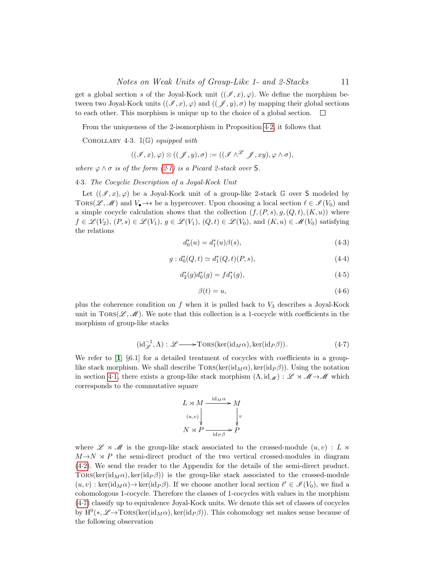get a global section s of the Joyal-Kock unit  $((\mathscr{I},x),\varphi)$ . We define the morphism between two Joyal-Kock units  $((\mathscr{I}, x), \varphi)$  and  $((\mathscr{I}, y), \sigma)$  by mapping their global sections to each other. This morphism is unique up to the choice of a global section.

From the uniqueness of the 2-isomorphism in Proposition [4](#page-9-0)·2, it follows that

COROLLARY 4.3.  $\mathbb{I}(\mathbb{G})$  equipped with

$$
((\mathscr{I},x),\varphi)\otimes((\mathscr{J},y),\sigma):=((\mathscr{I}\wedge^\mathscr{L}\mathscr{J},xy),\varphi\wedge\sigma),
$$

where  $\varphi \wedge \sigma$  is of the form  $(2.1)$  $(2.1)$  is a Picard 2-stack over S.

4·3. The Cocyclic Description of a Joyal-Kock Unit

Let  $((\mathscr{I},x),\varphi)$  be a Joyal-Kock unit of a group-like 2-stack G over S modeled by TORS( $\mathscr{L},\mathscr{M}$ ) and  $V_{\bullet}\to\ast$  be a hypercover. Upon choosing a local section  $\ell \in \mathscr{I} (V_0)$  and a simple cocycle calculation shows that the collection  $(f,(P,s),g,(Q,t),(K,u))$  where  $f \in \mathcal{L}(V_2), (P, s) \in \mathcal{L}(V_1), g \in \mathcal{L}(V_1), (Q, t) \in \mathcal{L}(V_0), \text{ and } (K, u) \in \mathcal{M}(V_0)$  satisfying the relations

$$
d_0^*(u) = d_1^*(u)\beta(s),\tag{4-3}
$$

$$
g: d_0^*(Q, t) \simeq d_1^*(Q, t)(P, s), \tag{4-4}
$$

$$
d_2^*(g)d_0^*(g) = f d_1^*(g),\tag{4-5}
$$

$$
\beta(t) = u,\tag{4-6}
$$

plus the coherence condition on  $f$  when it is pulled back to  $V_3$  describes a Joyal-Kock unit in  $TORS(\mathscr{L},\mathscr{M})$ . We note that this collection is a 1-cocycle with coefficients in the morphism of group-like stacks

<span id="page-10-0"></span>
$$
(\mathrm{id}_{\mathscr{L}}^{-1}, \Lambda) : \mathscr{L} \longrightarrow \mathrm{Tors}(\mathrm{ker}(\mathrm{id}_{M}\alpha), \mathrm{ker}(\mathrm{id}_{P}\beta)).\tag{4-7}
$$

We refer to  $\left[1, \S6.1\right]$  $\left[1, \S6.1\right]$  $\left[1, \S6.1\right]$  for a detailed treatment of cocycles with coefficients in a grouplike stack morphism. We shall describe  $TORS(ker(id_M\alpha), ker(id_P\beta))$ . Using the notation in section [4](#page-7-3)·1, there exists a group-like stack morphism  $(\Lambda, id_{\mathcal{M}}) : \mathcal{L} \times \mathcal{M} \to \mathcal{M}$  which corresponds to the commutative square



where  $\mathscr{L} \rtimes \mathscr{M}$  is the group-like stack associated to the crossed-module  $(u, v) : L \rtimes$  $M \rightarrow N \times P$  the semi-direct product of the two vertical crossed-modules in diagram [\(4](#page-7-2)·2). We send the reader to the Appendix for the details of the semi-direct product. TORS(ker(id<sub>M</sub> $\alpha$ ), ker(id<sub>P</sub> $\beta$ )) is the group-like stack associated to the crossed-module  $(u, v) : \text{ker}(\text{id}_M \alpha) \to \text{ker}(\text{id}_P \beta)$ . If we choose another local section  $\ell' \in \mathcal{I}(V_0)$ , we find a cohomologous 1-cocycle. Therefore the classes of 1-cocycles with values in the morphism [\(4](#page-10-0)·7) classify up to equivalence Joyal-Kock units. We denote this set of classes of cocycles by  $\mathrm{H}^{0}(*,\mathscr{L}\to\mathrm{Tors}(\ker(\mathrm{id}_{M}\alpha),\ker(\mathrm{id}_{P}\beta)).$  This cohomology set makes sense because of the following observation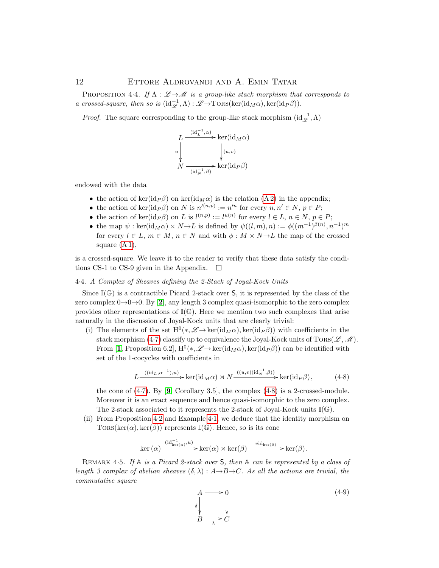### 12 ETTORE ALDROVANDI AND A. EMIN TATAR

PROPOSITION 4·4. If  $\Lambda : \mathscr{L} \to \mathscr{M}$  is a group-like stack morphism that corresponds to a crossed-square, then so is  $(id_{\mathscr{L}}^{-1}, \Lambda) : \mathscr{L} \to \text{TORS}(\ker(id_M \alpha), \ker(id_P \beta)).$ 

*Proof.* The square corresponding to the group-like stack morphism  $(\mathrm{id}_{\mathscr{L}}^{-1}, \Lambda)$ 



endowed with the data

- the action of ker(id<sub>P</sub> $\beta$ ) on ker(id<sub>Ma</sub>) is the relation [\(A 2\)](#page-13-0) in the appendix;
- the action of ker(id<sub>P</sub> $\beta$ ) on N is  $n'(n,p) := n'^n$  for every  $n, n' \in N$ ,  $p \in P$ ;
- the action of  $\ker(\mathrm{id}_P\beta)$  on L is  $l^{(n,p)} := l^{u(n)}$  for every  $l \in L, n \in N, p \in P$ ;
- the map  $\psi$ : ker( $\mathrm{id}_M \alpha$ ) × N → L is defined by  $\psi((l,m),n) := \phi((m^{-1})^{\beta(n)}, n^{-1})^m$ for every  $l \in L$ ,  $m \in M$ ,  $n \in N$  and with  $\phi : M \times N \to L$  the map of the crossed square  $(A 1)$ ,

is a crossed-square. We leave it to the reader to verify that these data satisfy the conditions CS-1 to CS-9 given in the Appendix.  $\square$ 

#### 4·4. A Complex of Sheaves defining the 2-Stack of Joyal-Kock Units

Since  $\mathbb{I}(\mathbb{G})$  is a contractible Picard 2-stack over S, it is represented by the class of the zero complex  $0\rightarrow 0\rightarrow 0$ . By [[2](#page-14-10)], any length 3 complex quasi-isomorphic to the zero complex provides other representations of  $\mathbb{I}(\mathbb{G})$ . Here we mention two such complexes that arise naturally in the discussion of Joyal-Kock units that are clearly trivial:

(i) The elements of the set  $H^0(*,\mathscr{L}\to\ker(\mathrm{id}_M\alpha),\ker(\mathrm{id}_P\beta))$  with coefficients in the stack morphism (4.[7\)](#page-10-0) classify up to equivalence the Joyal-Kock units of  $TORS(\mathscr{L},\mathscr{M})$ . From [[1](#page-14-9), Proposition 6.2],  $H^0(*,\mathscr{L} \to \ker(\mathrm{id}_M\alpha), \ker(\mathrm{id}_P\beta))$  can be identified with set of the 1-cocycles with coefficients in

<span id="page-11-0"></span>
$$
L \xrightarrow{((id_L, \alpha^{-1}), u)} \ker(id_M \alpha) \rtimes N \xrightarrow{((u, v)(id_N^{-1}, \beta))} \ker(id_P \beta), \tag{4-8}
$$

the cone of  $(4.7)$  $(4.7)$ . By  $[9, Corollary 3.5]$  $[9, Corollary 3.5]$  $[9, Corollary 3.5]$ , the complex  $(4.8)$  $(4.8)$  is a 2-crossed-module. Moreover it is an exact sequence and hence quasi-isomorphic to the zero complex. The 2-stack associated to it represents the 2-stack of Joyal-Kock units  $\mathbb{I}(\mathbb{G})$ .

(ii) From Proposition [4](#page-9-0)·2 and Example [4](#page-9-1)·1, we deduce that the identity morphism on TORS(ker( $\alpha$ ), ker( $\beta$ )) represents I( $\mathbb{G}$ ). Hence, so is its cone

ker (α) (id−<sup>1</sup> ker(α) ,u) /ker(α) o ker(β) vidker(β) /ker(β).

REMARK 4.5. If  $A$  is a Picard 2-stack over  $S$ , then  $A$  can be represented by a class of length 3 complex of abelian sheaves  $(\delta, \lambda): A \rightarrow B \rightarrow C$ . As all the actions are trivial, the commutative square

<span id="page-11-1"></span>
$$
A \longrightarrow 0
$$
  
\n
$$
\downarrow
$$
  
\n
$$
B \longrightarrow C
$$
  
\n
$$
(4.9)
$$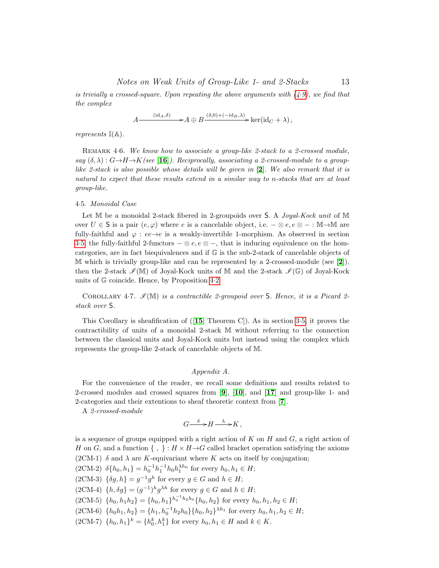is trivially a crossed-square. Upon repeating the above arguments with  $(4.9)$  $(4.9)$ , we find that the complex

$$
A \longrightarrow^{(\mathrm{id}_A, \delta)} A \oplus B \longrightarrow^{(\delta, 0) + (-\mathrm{id}_B, \lambda)} \ker(\mathrm{id}_C + \lambda),
$$

represents  $\mathbb{I}(\mathbb{A})$ .

REMARK 4.6. We know how to associate a group-like 2-stack to a 2-crossed module, say  $(\delta, \lambda): G \rightarrow H \rightarrow K$  (see [[16](#page-15-2)]). Reciprocally, associating a 2-crossed-module to a group-like [2](#page-14-10)-stack is also possible whose details will be given in  $[2]$ . We also remark that it is natural to expect that these results extend in a similar way to n-stacks that are at least group-like.

#### 4·5. Monoidal Case

Let M be a monoidal 2-stack fibered in 2-groupoids over S. A *Joyal-Kock unit* of M over  $U \in \mathsf{S}$  is a pair  $(e, \varphi)$  where e is a cancelable object, i.e.  $-\otimes e, e \otimes - : \mathbb{M} \rightarrow \mathbb{M}$  are fully-faithful and  $\varphi : ee \rightarrow e$  is a weakly-invertible 1-morphism. As observed in section 3.[5,](#page-6-0) the fully-faithful 2-functors  $-\otimes e, e \otimes -$ , that is inducing equivalence on the homcategories, are in fact biequivalences and if G is the sub-2-stack of cancelable objects of  $\mathbb M$  which is trivially group-like and can be represented by a [2](#page-14-10)-crossed-module (see [2]), then the 2-stack  $\mathscr{I}(\mathbb{M})$  of Joyal-Kock units of M and the 2-stack  $\mathscr{I}(\mathbb{G})$  of Joyal-Kock units of G coincide. Hence, by Proposition [4](#page-9-0)·2

COROLLARY 4.7.  $\mathscr{I}(\mathbb{M})$  is a contractible 2-groupoid over S. Hence, it is a Picard 2stack over S.

This Corollary is sheafification of  $([15, \text{ Theorem C}])$  $([15, \text{ Theorem C}])$  $([15, \text{ Theorem C}])$ . As in section [3](#page-6-0).5, it proves the contractibility of units of a monoidal 2-stack M without referring to the connection between the classical units and Joyal-Kock units but instead using the complex which represents the group-like 2-stack of cancelable objects of M.

# Appendix A.

For the convenience of the reader, we recall some definitions and results related to 2-crossed modules and crossed squares from [[9](#page-14-11)], [[10](#page-14-12)], and [[17](#page-15-3)] and group-like 1- and 2-categories and their extentions to sheaf theoretic context from [[7](#page-14-1)].

A 2-crossed-module

$$
G \xrightarrow{\delta} H \xrightarrow{\lambda} K,
$$

is a sequence of groups equipped with a right action of K on H and  $G$ , a right action of H on G, and a function  $\{ , \} : H \times H \rightarrow G$  called bracket operation satisfying the axioms (2CM-1)  $\delta$  and  $\lambda$  are K-equivariant where K acts on itself by conjugation;

 $(2CM-2) \ \delta\{h_0, h_1\} = h_0^{-1}h_1^{-1}h_0h_1^{\lambda h_0}$  for every  $h_0, h_1 \in H;$ 

 $(2CM-3) \ \{\delta g, h\} = g^{-1}g^h$  for every  $g \in G$  and  $h \in H$ ;

- $(2CM-4)$   $\{h, \delta g\} = (g^{-1})^h g^{\lambda h}$  for every  $g \in G$  and  $h \in H$ ;
- $(2CM-5)$   $\{h_0, h_1h_2\} = \{h_0, h_1\}^{h_0^{-1}h_2h_0} \{h_0, h_2\}$  for every  $h_0, h_1, h_2 \in H$ ;
- $(2CM-6)$   $\{h_0h_1, h_2\} = \{h_1, h_0^{-1}h_2h_0\}\{h_0, h_2\}^{\lambda h_1}$  for every  $h_0, h_1, h_2 \in H$ ;
- $(2CM-7)$   $\{h_0, h_1\}^k = \{h_0^k, h_1^k\}$  for every  $h_0, h_1 \in H$  and  $k \in K$ .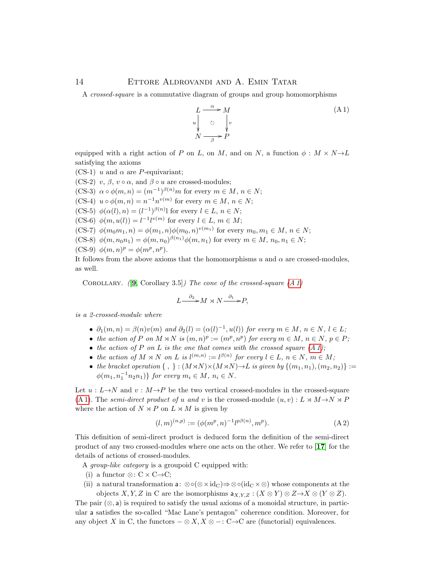A crossed-square is a commutative diagram of groups and group homomorphisms

<span id="page-13-1"></span>
$$
L \xrightarrow{a} M
$$
  
\n
$$
u \downarrow \circ \qquad v
$$
  
\n
$$
N \xrightarrow{\beta} P
$$
  
\n(A1)

equipped with a right action of P on L, on M, and on N, a function  $\phi : M \times N \rightarrow L$ satisfying the axioms

(CS-1) u and  $\alpha$  are P-equivariant;

(CS-2) v,  $\beta$ ,  $v \circ \alpha$ , and  $\beta \circ u$  are crossed-modules;

(CS-3)  $\alpha \circ \phi(m,n) = (m^{-1})^{\beta(n)} m$  for every  $m \in M$ ,  $n \in N$ ;

(CS-4)  $u \circ \phi(m, n) = n^{-1} n^{v(m)}$  for every  $m \in M$ ,  $n \in N$ ;

(CS-5)  $\phi(\alpha(l), n) = (l^{-1})^{\beta(n)}$  for every  $l \in L, n \in N$ ;

 $(CS-6)$   $\phi(m, u(l)) = l^{-1}l^{v(m)}$  for every  $l \in L, m \in M$ ;

(CS-7)  $\phi(m_0m_1, n) = \phi(m_1, n)\phi(m_0, n)^{v(m_1)}$  for every  $m_0, m_1 \in M, n \in N$ ;

(CS-8)  $\phi(m, n_0 n_1) = \phi(m, n_0)^{\beta(n_1)} \phi(m, n_1)$  for every  $m \in M$ ,  $n_0, n_1 \in N$ ;

(CS-9) 
$$
\phi(m,n)^p = \phi(m^p, n^p)
$$
.

It follows from the above axioms that the homomorphisms u and  $\alpha$  are crossed-modules, as well.

COROLLARY.  $(9, Corollary 3.5)$  $(9, Corollary 3.5)$  $(9, Corollary 3.5)$  The cone of the crossed-square  $(A 1)$ 

$$
L \xrightarrow{\partial_2} M \rtimes N \xrightarrow{\partial_1} P,
$$

is a 2-crossed-module where

- $\partial_1(m,n) = \beta(n)v(m)$  and  $\partial_2(l) = (\alpha(l)^{-1}, u(l))$  for every  $m \in M$ ,  $n \in N$ ,  $l \in L$ ;
- the action of P on  $M \rtimes N$  is  $(m, n)^p := (m^p, n^p)$  for every  $m \in M$ ,  $n \in N$ ,  $p \in P$ ;
- the action of P on L is the one that comes with the crossed square  $(A 1)$ ;
- the action of  $M \rtimes N$  on  $L$  is  $l^{(m,n)} := l^{\beta(n)}$  for every  $l \in L$ ,  $n \in N$ ,  $m \in M$ ;
- the bracket operation  $\{ , \} : (M \rtimes N) \times (M \rtimes N) \rightarrow L$  is given by  $\{(m_1, n_1), (m_2, n_2)\} :=$  $\phi(m_1, n_1^{-1} n_2 n_1)$ } for every  $m_i \in M$ ,  $n_i \in N$ .

Let  $u : L \rightarrow N$  and  $v : M \rightarrow P$  be the two vertical crossed-modules in the crossed-square [\(A 1\)](#page-13-1). The semi-direct product of u and v is the crossed-module  $(u, v) : L \rtimes M \rightarrow N \rtimes P$ where the action of  $N \rtimes P$  on  $L \rtimes M$  is given by

<span id="page-13-0"></span>
$$
(l,m)^{(n,p)} := (\phi(m^p, n)^{-1} l^{p\beta(n)}, m^p).
$$
 (A2)

This definition of semi-direct product is deduced form the definition of the semi-direct product of any two crossed-modules where one acts on the other. We refer to [[17](#page-15-3)] for the details of actions of crossed-modules.

A group-like category is a groupoid C equipped with:

- (i) a functor  $\otimes: C \times C \rightarrow C$ ;
- (ii) a natural transformation a: ⊗ $\circ (\otimes \times id_C) \Rightarrow \circ (\circ id_C \times \otimes)$  whose components at the objects X, Y, Z in C are the isomorphisms  $a_{X,Y,Z}: (X \otimes Y) \otimes Z \rightarrow X \otimes (Y \otimes Z)$ .

The pair  $(\otimes, \mathsf{a})$  is required to satisfy the usual axioms of a monoidal structure, in particular a satisfies the so-called "Mac Lane's pentagon" coherence condition. Moreover, for any object X in C, the functors  $-\otimes X$ ,  $X \otimes -$ : C $\rightarrow$ C are (functorial) equivalences.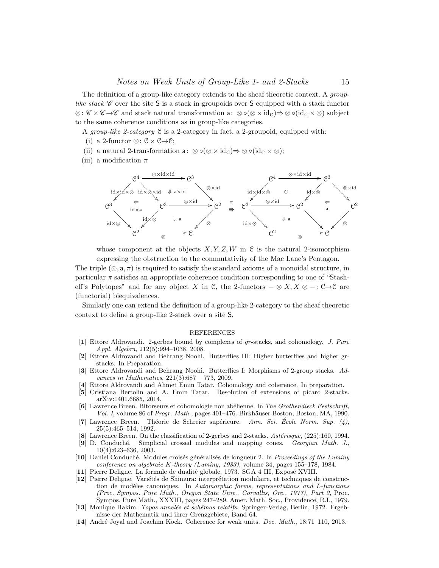The definition of a group-like category extends to the sheaf theoretic context. A grouplike stack  $\mathscr C$  over the site S is a stack in groupoids over S equipped with a stack functor ⊗:  $\mathscr{C} \times \mathscr{C} \rightarrow \mathscr{C}$  and stack natural transformation a: ⊗ ∘(⊗ × id<sub>C</sub>)⇒ ⊗ ∘(id<sub>C</sub> × ⊗) subject to the same coherence conditions as in group-like categories.

A group-like 2-category C is a 2-category in fact, a 2-groupoid, equipped with:

- (i) a 2-functor ⊗:  $C \times C \rightarrow C$ ;
- (ii) a natural 2-transformation a:  $\otimes \circ (\otimes \times id_{\mathcal{C}}) \Rightarrow \otimes \circ (id_{\mathcal{C}} \times \otimes);$
- (iii) a modification  $\pi$



whose component at the objects  $X, Y, Z, W$  in C is the natural 2-isomorphism expressing the obstruction to the commutativity of the Mac Lane's Pentagon.

The triple  $(\otimes, \mathsf{a}, \pi)$  is required to satisfy the standard axioms of a monoidal structure, in particular  $\pi$  satisfies an appropriate coherence condition corresponding to one of "Stasheff's Polytopes" and for any object X in C, the 2-functors  $-\otimes X, X \otimes -: \mathbb{C} \rightarrow \mathbb{C}$  are (functorial) biequivalences.

Similarly one can extend the definition of a group-like 2-category to the sheaf theoretic context to define a group-like 2-stack over a site S.

#### REFERENCES

- <span id="page-14-9"></span>[1] Ettore Aldrovandi. 2-gerbes bound by complexes of gr-stacks, and cohomology. J. Pure Appl. Algebra, 212(5):994–1038, 2008.
- <span id="page-14-10"></span>[2] Ettore Aldrovandi and Behrang Noohi. Butterflies III: Higher butterflies and higher grstacks. In Preparation.
- <span id="page-14-6"></span>[3] Ettore Aldrovandi and Behrang Noohi. Butterflies I: Morphisms of 2-group stacks. Advances in Mathematics,  $221(3):687 - 773$ ,  $2009$ .
- <span id="page-14-3"></span>[4] Ettore Aldrovandi and Ahmet Emin Tatar. Cohomology and coherence. In preparation.
- <span id="page-14-2"></span>[5] Cristiana Bertolin and A. Emin Tatar. Resolution of extensions of picard 2-stacks. arXiv:1401.6685, 2014.
- <span id="page-14-7"></span>[6] Lawrence Breen. Bitorseurs et cohomologie non abélienne. In The Grothendieck Festschrift, Vol. I, volume 86 of Progr. Math., pages 401–476. Birkhäuser Boston, Boston, MA, 1990.
- <span id="page-14-1"></span>[7] Lawrence Breen. Théorie de Schreier supérieure. Ann. Sci. École Norm. Sup.  $(4)$ , 25(5):465–514, 1992.
- [8] Lawrence Breen. On the classification of 2-gerbes and 2-stacks. Astérisque, (225):160, 1994.
- <span id="page-14-11"></span>[9] D. Conduch´e. Simplicial crossed modules and mapping cones. Georgian Math. J., 10(4):623–636, 2003.
- <span id="page-14-12"></span>[10] Daniel Conduché. Modules croisés généralisés de longueur 2. In Proceedings of the Luminy conference on algebraic K-theory (Luminy, 1983), volume 34, pages 155–178, 1984.
- <span id="page-14-5"></span>[11] Pierre Deligne. La formule de dualité globale, 1973. SGA 4 III, Exposé XVIII.
- <span id="page-14-8"></span>[12] Pierre Deligne. Variétés de Shimura: interprétation modulaire, et techniques de construction de modèles canoniques. In Automorphic forms, representations and L-functions (Proc. Sympos. Pure Math., Oregon State Univ., Corvallis, Ore., 1977), Part 2, Proc. Sympos. Pure Math., XXXIII, pages 247–289. Amer. Math. Soc., Providence, R.I., 1979.
- <span id="page-14-4"></span>[13] Monique Hakim. *Topos annelés et schémas relatifs*. Springer-Verlag, Berlin, 1972. Ergebnisse der Mathematik und ihrer Grenzgebiete, Band 64.
- <span id="page-14-0"></span>[14] André Joyal and Joachim Kock. Coherence for weak units. *Doc. Math.*, 18:71–110, 2013.